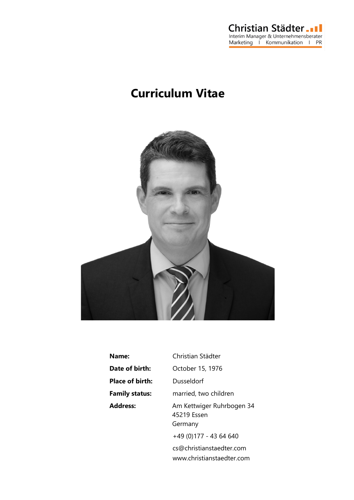

## **Curriculum Vitae**



| Name:                  | Christian Städter                                   |
|------------------------|-----------------------------------------------------|
| Date of birth:         | October 15, 1976                                    |
| <b>Place of birth:</b> | Dusseldorf                                          |
| <b>Family status:</b>  | married, two children                               |
| <b>Address:</b>        | Am Kettwiger Ruhrbogen 34<br>45219 Essen<br>Germany |
|                        | +49 (0)177 - 43 64 640                              |
|                        | cs@christianstaedter.com                            |

www.christianstaedter.com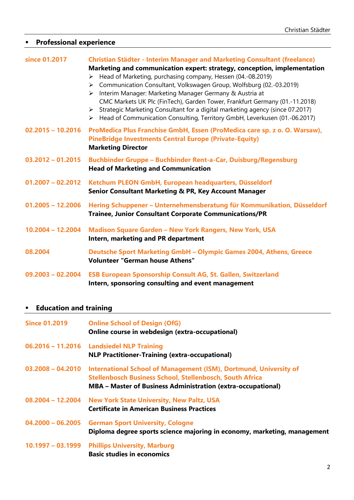## **Professional experience**

| since 01.2017       | <b>Christian Städter - Interim Manager and Marketing Consultant (freelance)</b>                                                                                                                                                                                                                                                                                                                                                                                                                                                                                          |
|---------------------|--------------------------------------------------------------------------------------------------------------------------------------------------------------------------------------------------------------------------------------------------------------------------------------------------------------------------------------------------------------------------------------------------------------------------------------------------------------------------------------------------------------------------------------------------------------------------|
|                     | Marketing and communication expert: strategy, conception, implementation<br>> Head of Marketing, purchasing company, Hessen (04.-08.2019)<br>Communication Consultant, Volkswagen Group, Wolfsburg (02.-03.2019)<br>➤<br>Interim Manager: Marketing Manager Germany & Austria at<br>$\triangleright$<br>CMC Markets UK Plc (FinTech), Garden Tower, Frankfurt Germany (01.-11.2018)<br>Strategic Marketing Consultant for a digital marketing agency (since 07.2017)<br>$\triangleright$<br>> Head of Communication Consulting, Territory GmbH, Leverkusen (01.-06.2017) |
| $02.2015 - 10.2016$ | ProMedica Plus Franchise GmbH, Essen (ProMedica care sp. z o. O. Warsaw),<br><b>PineBridge Investments Central Europe (Private-Equity)</b><br><b>Marketing Director</b>                                                                                                                                                                                                                                                                                                                                                                                                  |
| $03.2012 - 01.2015$ | Buchbinder Gruppe - Buchbinder Rent-a-Car, Duisburg/Regensburg<br><b>Head of Marketing and Communication</b>                                                                                                                                                                                                                                                                                                                                                                                                                                                             |
| $01.2007 - 02.2012$ | Ketchum PLEON GmbH, European headquarters, Düsseldorf<br><b>Senior Consultant Marketing &amp; PR, Key Account Manager</b>                                                                                                                                                                                                                                                                                                                                                                                                                                                |
| $01.2005 - 12.2006$ | Hering Schuppener - Unternehmensberatung für Kommunikation, Düsseldorf<br><b>Trainee, Junior Consultant Corporate Communications/PR</b>                                                                                                                                                                                                                                                                                                                                                                                                                                  |
| $10.2004 - 12.2004$ | Madison Square Garden - New York Rangers, New York, USA<br>Intern, marketing and PR department                                                                                                                                                                                                                                                                                                                                                                                                                                                                           |
| 08.2004             | <b>Deutsche Sport Marketing GmbH - Olympic Games 2004, Athens, Greece</b><br><b>Volunteer "German house Athens"</b>                                                                                                                                                                                                                                                                                                                                                                                                                                                      |
| $09.2003 - 02.2004$ | ESB European Sponsorship Consult AG, St. Gallen, Switzerland<br>Intern, sponsoring consulting and event management                                                                                                                                                                                                                                                                                                                                                                                                                                                       |

## **Education and training**

| <b>Since 01.2019</b> | <b>Online School of Design (OfG)</b><br>Online course in webdesign (extra-occupational)                                                                                                                                |
|----------------------|------------------------------------------------------------------------------------------------------------------------------------------------------------------------------------------------------------------------|
|                      | 06.2016 - 11.2016 Landsiedel NLP Training<br><b>NLP Practitioner-Training (extra-occupational)</b>                                                                                                                     |
|                      | 03.2008 - 04.2010 International School of Management (ISM), Dortmund, University of<br>Stellenbosch Business School, Stellenbosch, South Africa<br><b>MBA</b> – Master of Business Administration (extra-occupational) |
|                      | 08.2004 - 12.2004 New York State University, New Paltz, USA<br><b>Certificate in American Business Practices</b>                                                                                                       |
| $04.2000 - 06.2005$  | <b>German Sport University, Cologne</b><br>Diploma degree sports science majoring in economy, marketing, management                                                                                                    |
| $10.1997 - 03.1999$  | <b>Phillips University, Marburg</b><br><b>Basic studies in economics</b>                                                                                                                                               |